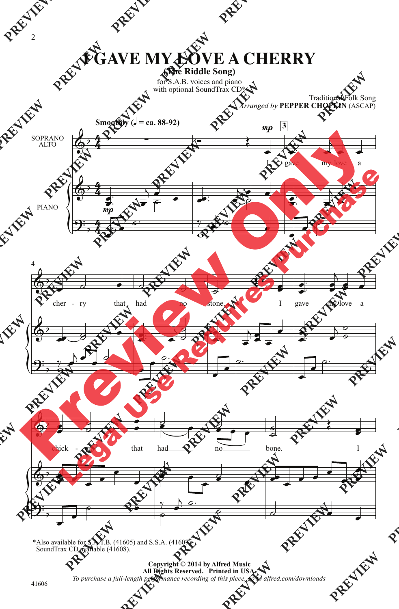## **I GAVE MY LOVE A CHERRY**

**(The Riddle Song)**

for S.A.B. voices and piano with optional SoundTrax  $CD^*$ 

> Traditional Folk Song *Arranged by* **PEPPER CHOPLIN** (ASCAP)



\*Also available for S.A.T.B. (41605) and S.S.A. (41607). SoundTrax CD available (41608).

> **Copyright © 2014 by Alfred Music All Rights Reserved. Printed in USA.** *To purchase a full-length performance recording of this piece, go to alfred.com/downloads*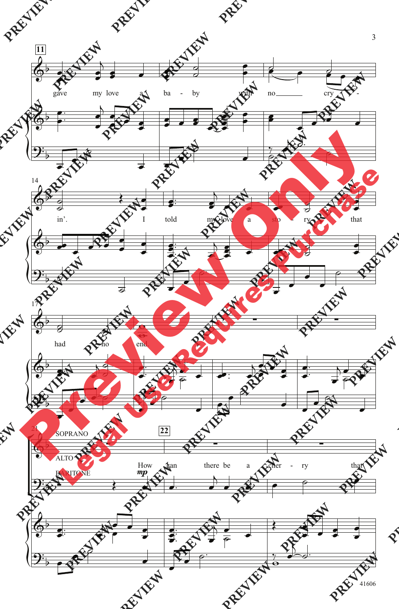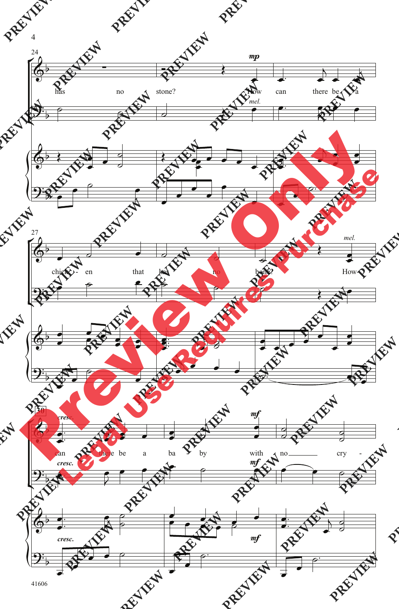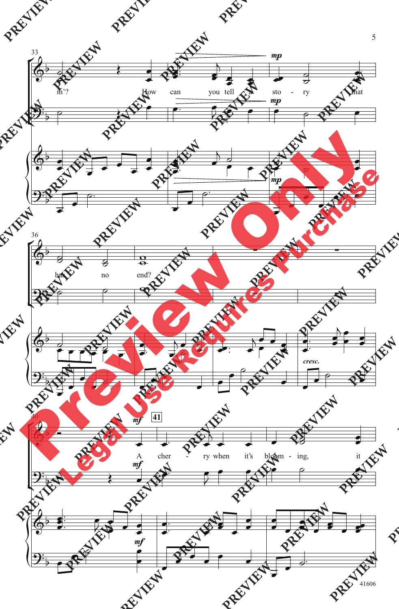

41606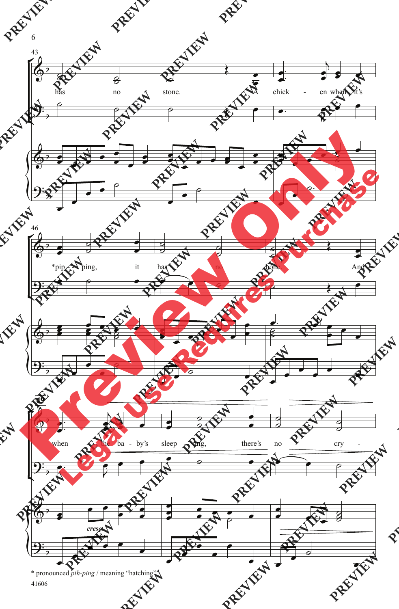

<sup>\*</sup> pronounced *pih-ping* / meaning "hatching"

6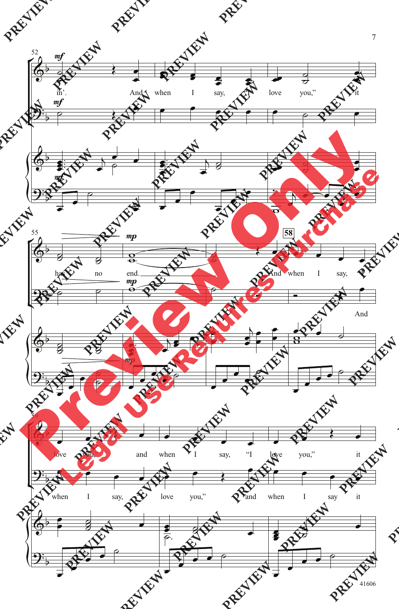